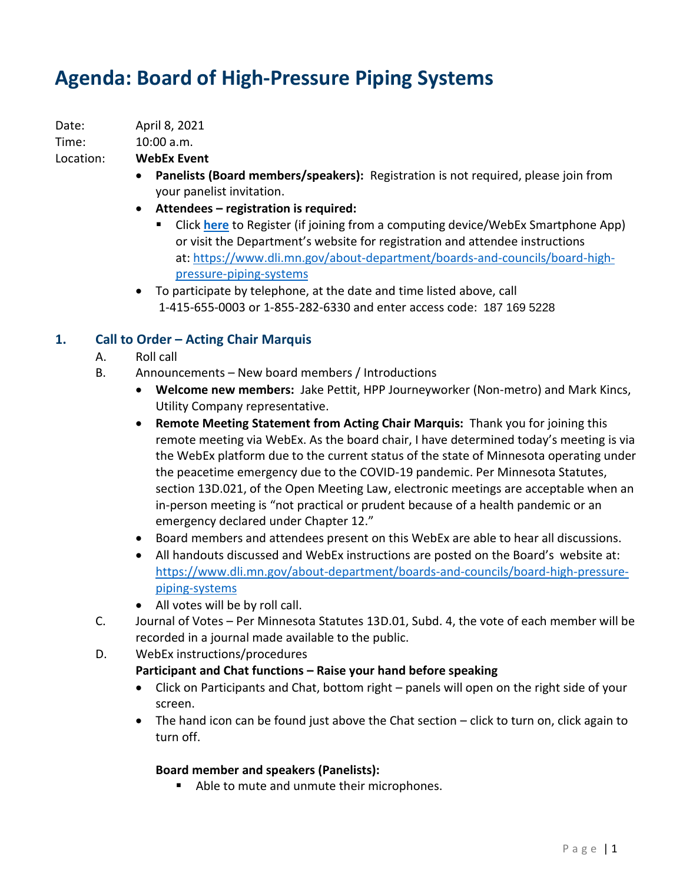# **Agenda: Board of High-Pressure Piping Systems**

Date: April 8, 2021

Time: 10:00 a.m.

Location: **WebEx Event**

- **Panelists (Board members/speakers):** Registration is not required, please join from your panelist invitation.
- **Attendees – registration is required:**
	- Click **[here](https://minnesota.webex.com/minnesota/onstage/g.php?MTID=eec7baa759c446e13291f2c8aeca2e534)** to Register (if joining from a computing device/WebEx Smartphone App) or visit the Department's website for registration and attendee instructions at: [https://www.dli.mn.gov/about-department/boards-and-councils/board-high](https://www.dli.mn.gov/about-department/boards-and-councils/board-high-pressure-piping-systems)[pressure-piping-systems](https://www.dli.mn.gov/about-department/boards-and-councils/board-high-pressure-piping-systems)
- To participate by telephone, at the date and time listed above, call 1-415-655-0003 or 1-855-282-6330 and enter access code: 187 169 5228

# **1. Call to Order – Acting Chair Marquis**

- A. Roll call
- B. Announcements New board members / Introductions
	- **Welcome new members:** Jake Pettit, HPP Journeyworker (Non-metro) and Mark Kincs, Utility Company representative.
	- **Remote Meeting Statement from Acting Chair Marquis:** Thank you for joining this remote meeting via WebEx. As the board chair, I have determined today's meeting is via the WebEx platform due to the current status of the state of Minnesota operating under the peacetime emergency due to the COVID-19 pandemic. Per Minnesota Statutes, section 13D.021, of the Open Meeting Law, electronic meetings are acceptable when an in-person meeting is "not practical or prudent because of a health pandemic or an emergency declared under Chapter 12."
	- Board members and attendees present on this WebEx are able to hear all discussions.
	- All handouts discussed and WebEx instructions are posted on the Board's website at: [https://www.dli.mn.gov/about-department/boards-and-councils/board-high-pressure](https://www.dli.mn.gov/about-department/boards-and-councils/board-high-pressure-piping-systems)[piping-systems](https://www.dli.mn.gov/about-department/boards-and-councils/board-high-pressure-piping-systems)
	- All votes will be by roll call.
- C. Journal of Votes Per Minnesota Statutes 13D.01, Subd. 4, the vote of each member will be recorded in a journal made available to the public.
- D. WebEx instructions/procedures

# **Participant and Chat functions – Raise your hand before speaking**

- Click on Participants and Chat, bottom right panels will open on the right side of your screen.
- The hand icon can be found just above the Chat section click to turn on, click again to turn off.

# **Board member and speakers (Panelists):**

■ Able to mute and unmute their microphones.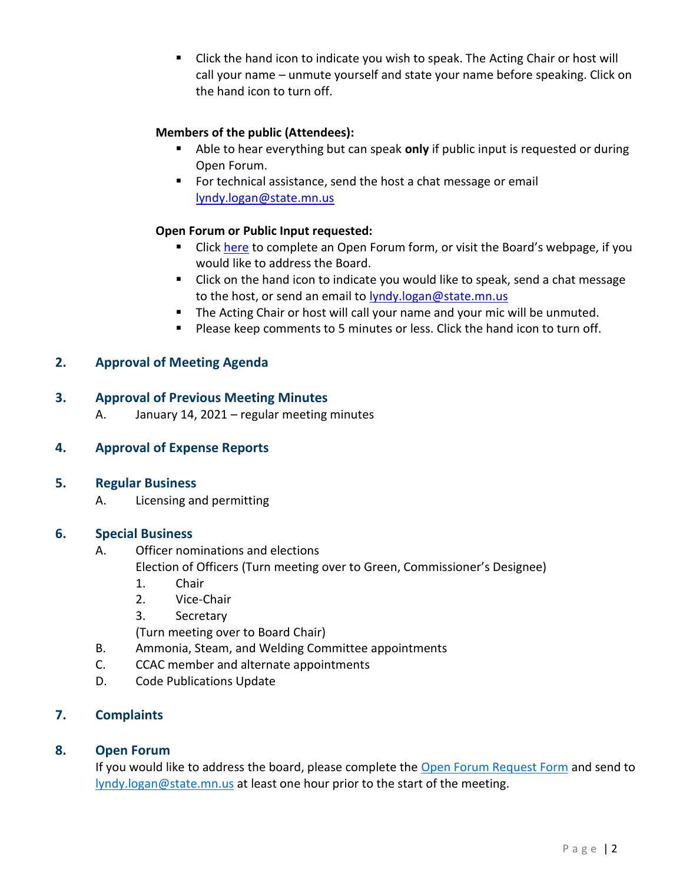■ Click the hand icon to indicate you wish to speak. The Acting Chair or host will call your name – unmute yourself and state your name before speaking. Click on the hand icon to turn off.

## **Members of the public (Attendees):**

- Able to hear everything but can speak **only** if public input is requested or during Open Forum.
- For technical assistance, send the host a chat message or email [lyndy.logan@state.mn.us](mailto:lyndy.logan@state.mn.us)

#### **Open Forum or Public Input requested:**

- **E** Click [here](https://www.dli.mn.gov/sites/default/files/pdf/open-forum-request.pdf) to complete an Open Forum form, or visit the Board's webpage, if you would like to address the Board.
- Click on the hand icon to indicate you would like to speak, send a chat message to the host, or send an email to lyndy.logan@state.mn.us
- The Acting Chair or host will call your name and your mic will be unmuted.
- Please keep comments to 5 minutes or less. Click the hand icon to turn off.

# **2. Approval of Meeting Agenda**

#### **3. Approval of Previous Meeting Minutes**

A. January 14, 2021 – regular meeting minutes

#### **4. Approval of Expense Reports**

#### **5. Regular Business**

A. Licensing and permitting

#### **6. Special Business**

- A. Officer nominations and elections
	- Election of Officers (Turn meeting over to Green, Commissioner's Designee)
	- 1. Chair
	- 2. Vice-Chair
	- 3. Secretary

(Turn meeting over to Board Chair)

- B. Ammonia, Steam, and Welding Committee appointments
- C. CCAC member and alternate appointments
- D. Code Publications Update

# **7. Complaints**

# **8. Open Forum**

If you would like to address the board, please complete the [Open Forum Request Form](https://www.dli.mn.gov/sites/default/files/pdf/open-forum-request.pdf) and send to [lyndy.logan@state.mn.us](mailto:lyndy.logan@state.mn.us) at least one hour prior to the start of the meeting.